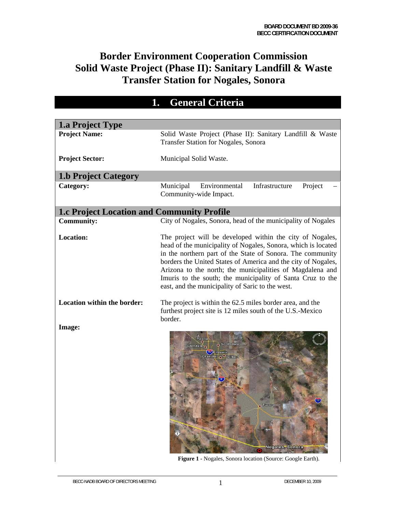## **Border Environment Cooperation Commission Solid Waste Project (Phase II): Sanitary Landfill & Waste Transfer Station for Nogales, Sonora**

## **1. General Criteria**

| <b>1.a Project Type</b>                           |                                                                                                                                                                                                                                                                                                                                                                                                                                          |
|---------------------------------------------------|------------------------------------------------------------------------------------------------------------------------------------------------------------------------------------------------------------------------------------------------------------------------------------------------------------------------------------------------------------------------------------------------------------------------------------------|
| <b>Project Name:</b>                              | Solid Waste Project (Phase II): Sanitary Landfill & Waste<br>Transfer Station for Nogales, Sonora                                                                                                                                                                                                                                                                                                                                        |
| <b>Project Sector:</b>                            | Municipal Solid Waste.                                                                                                                                                                                                                                                                                                                                                                                                                   |
| <b>1.b Project Category</b>                       |                                                                                                                                                                                                                                                                                                                                                                                                                                          |
| Category:                                         | Infrastructure<br>Municipal<br>Environmental<br>Project<br>Community-wide Impact.                                                                                                                                                                                                                                                                                                                                                        |
| <b>1.c Project Location and Community Profile</b> |                                                                                                                                                                                                                                                                                                                                                                                                                                          |
| <b>Community:</b>                                 | City of Nogales, Sonora, head of the municipality of Nogales                                                                                                                                                                                                                                                                                                                                                                             |
| <b>Location:</b>                                  | The project will be developed within the city of Nogales,<br>head of the municipality of Nogales, Sonora, which is located<br>in the northern part of the State of Sonora. The community<br>borders the United States of America and the city of Nogales,<br>Arizona to the north; the municipalities of Magdalena and<br>Imuris to the south; the municipality of Santa Cruz to the<br>east, and the municipality of Saric to the west. |
| Location within the border:                       | The project is within the 62.5 miles border area, and the<br>furthest project site is 12 miles south of the U.S.-Mexico<br>border.                                                                                                                                                                                                                                                                                                       |
| Image:                                            | <b>Scottsdale</b><br>Glendale<br>Nogales, Sonora                                                                                                                                                                                                                                                                                                                                                                                         |

**Figure 1 -** Nogales, Sonora location (Source: Google Earth).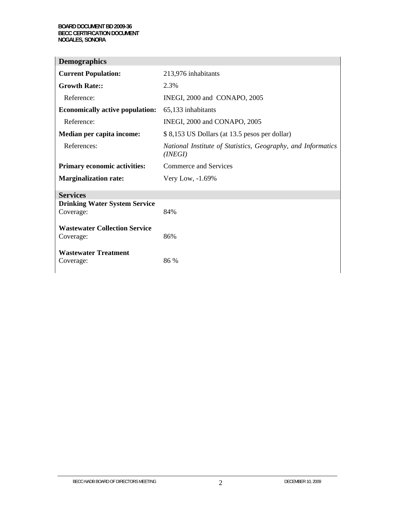| <b>Demographics</b>                               |                                                                         |
|---------------------------------------------------|-------------------------------------------------------------------------|
| <b>Current Population:</b>                        | 213,976 inhabitants                                                     |
| <b>Growth Rate::</b>                              | 2.3%                                                                    |
| Reference:                                        | INEGI, 2000 and CONAPO, 2005                                            |
| <b>Economically active population:</b>            | 65,133 inhabitants                                                      |
| Reference:                                        | INEGI, 2000 and CONAPO, 2005                                            |
| Median per capita income:                         | \$8,153 US Dollars (at 13.5 pesos per dollar)                           |
| References:                                       | National Institute of Statistics, Geography, and Informatics<br>(INEGI) |
| <b>Primary economic activities:</b>               | Commerce and Services                                                   |
| <b>Marginalization rate:</b>                      | Very Low, -1.69%                                                        |
| <b>Services</b>                                   |                                                                         |
| <b>Drinking Water System Service</b><br>Coverage: | 84%                                                                     |
| <b>Wastewater Collection Service</b><br>Coverage: | 86%                                                                     |
| <b>Wastewater Treatment</b><br>Coverage:          | 86 %                                                                    |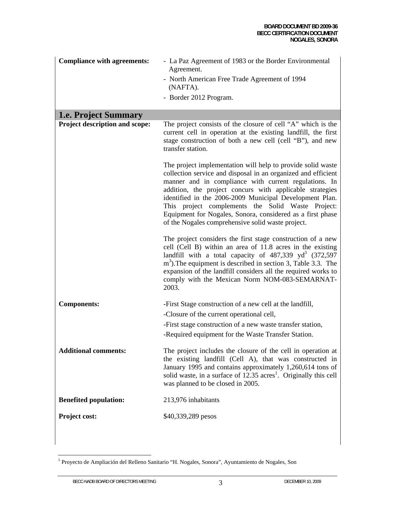| <b>Compliance with agreements:</b> | - La Paz Agreement of 1983 or the Border Environmental<br>Agreement.                                                                                                                                                                                                                                                                                                                                                                                                                 |  |  |  |
|------------------------------------|--------------------------------------------------------------------------------------------------------------------------------------------------------------------------------------------------------------------------------------------------------------------------------------------------------------------------------------------------------------------------------------------------------------------------------------------------------------------------------------|--|--|--|
|                                    | - North American Free Trade Agreement of 1994<br>(NAFTA).                                                                                                                                                                                                                                                                                                                                                                                                                            |  |  |  |
|                                    | - Border 2012 Program.                                                                                                                                                                                                                                                                                                                                                                                                                                                               |  |  |  |
| <b>1.e. Project Summary</b>        |                                                                                                                                                                                                                                                                                                                                                                                                                                                                                      |  |  |  |
| Project description and scope:     | The project consists of the closure of cell "A" which is the<br>current cell in operation at the existing landfill, the first<br>stage construction of both a new cell (cell "B"), and new<br>transfer station.                                                                                                                                                                                                                                                                      |  |  |  |
|                                    | The project implementation will help to provide solid waste<br>collection service and disposal in an organized and efficient<br>manner and in compliance with current regulations. In<br>addition, the project concurs with applicable strategies<br>identified in the 2006-2009 Municipal Development Plan.<br>This project complements the Solid Waste Project:<br>Equipment for Nogales, Sonora, considered as a first phase<br>of the Nogales comprehensive solid waste project. |  |  |  |
|                                    | The project considers the first stage construction of a new<br>cell (Cell B) within an area of 11.8 acres in the existing<br>landfill with a total capacity of $487,339$ yd <sup>3</sup> (372,597)<br>$m3$ ). The equipment is described in section 3, Table 3.3. The<br>expansion of the landfill considers all the required works to<br>comply with the Mexican Norm NOM-083-SEMARNAT-<br>2003.                                                                                    |  |  |  |
| <b>Components:</b>                 | -First Stage construction of a new cell at the landfill,<br>-Closure of the current operational cell,                                                                                                                                                                                                                                                                                                                                                                                |  |  |  |
|                                    | -First stage construction of a new waste transfer station,                                                                                                                                                                                                                                                                                                                                                                                                                           |  |  |  |
|                                    | -Required equipment for the Waste Transfer Station.                                                                                                                                                                                                                                                                                                                                                                                                                                  |  |  |  |
| <b>Additional comments:</b>        | The project includes the closure of the cell in operation at<br>the existing landfill (Cell A), that was constructed in<br>January 1995 and contains approximately 1,260,614 tons of<br>solid waste, in a surface of 12.35 acres <sup>1</sup> . Originally this cell<br>was planned to be closed in 2005.                                                                                                                                                                            |  |  |  |
| <b>Benefited population:</b>       | 213,976 inhabitants                                                                                                                                                                                                                                                                                                                                                                                                                                                                  |  |  |  |
| Project cost:                      | \$40,339,289 pesos                                                                                                                                                                                                                                                                                                                                                                                                                                                                   |  |  |  |

<sup>1&</sup>lt;br><sup>1</sup> Proyecto de Ampliación del Relleno Sanitario "H. Nogales, Sonora", Ayuntamiento de Nogales, Son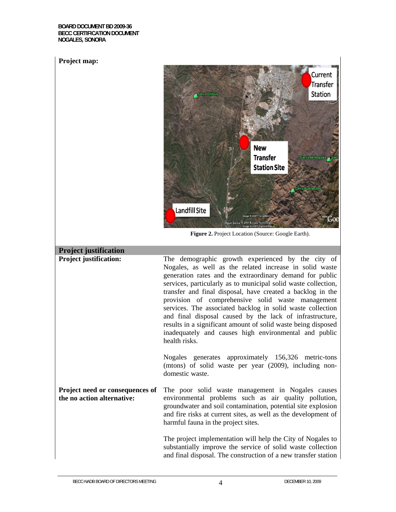**BOARD DOCUMENT BD 2009-36 BECC CERTIFICATION DOCUMENT NOGALES, SONORA** 

#### **Project map:**



**Figure 2.** Project Location (Source: Google Earth).

## **Project justification**

**Project justification:** The demographic growth experienced by the city of Nogales, as well as the related increase in solid waste generation rates and the extraordinary demand for public services, particularly as to municipal solid waste collection, transfer and final disposal, have created a backlog in the provision of comprehensive solid waste management services. The associated backlog in solid waste collection and final disposal caused by the lack of infrastructure, results in a significant amount of solid waste being disposed inadequately and causes high environmental and public health risks. Nogales generates approximately 156,326 metric-tons (mtons) of solid waste per year (2009), including nondomestic waste.

**Project need or consequences of the no action alternative:** The poor solid waste management in Nogales causes environmental problems such as air quality pollution, groundwater and soil contamination, potential site explosion and fire risks at current sites, as well as the development of harmful fauna in the project sites.

> The project implementation will help the City of Nogales to substantially improve the service of solid waste collection and final disposal. The construction of a new transfer station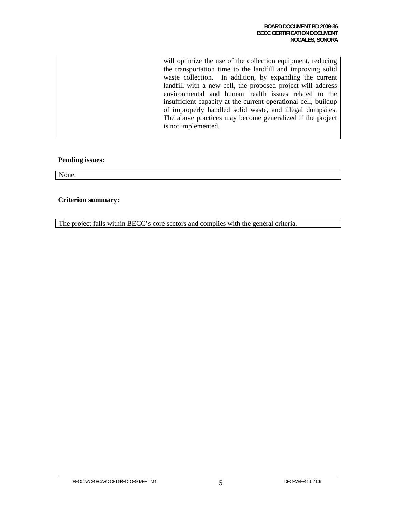will optimize the use of the collection equipment, reducing the transportation time to the landfill and improving solid waste collection. In addition, by expanding the current landfill with a new cell, the proposed project will address environmental and human health issues related to the insufficient capacity at the current operational cell, buildup of improperly handled solid waste, and illegal dumpsites. The above practices may become generalized if the project is not implemented.

#### **Pending issues:**

None.

#### **Criterion summary:**

The project falls within BECC's core sectors and complies with the general criteria.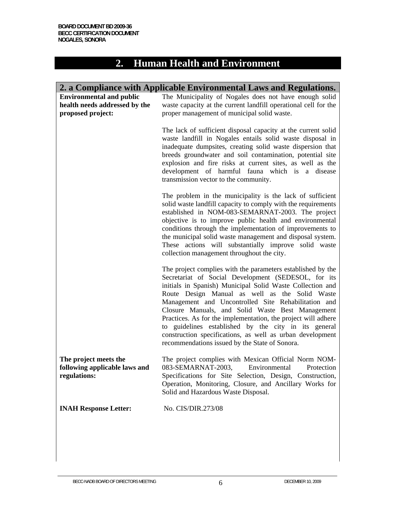# **2. Human Health and Environment**

|                                                                                       | 2. a Compliance with Applicable Environmental Laws and Regulations.                                                                                                                                                                                                                                                                                                                                                                                                                                                                                                                  |  |  |  |  |  |
|---------------------------------------------------------------------------------------|--------------------------------------------------------------------------------------------------------------------------------------------------------------------------------------------------------------------------------------------------------------------------------------------------------------------------------------------------------------------------------------------------------------------------------------------------------------------------------------------------------------------------------------------------------------------------------------|--|--|--|--|--|
| <b>Environmental and public</b><br>health needs addressed by the<br>proposed project: | The Municipality of Nogales does not have enough solid<br>waste capacity at the current landfill operational cell for the<br>proper management of municipal solid waste.                                                                                                                                                                                                                                                                                                                                                                                                             |  |  |  |  |  |
|                                                                                       | The lack of sufficient disposal capacity at the current solid<br>waste landfill in Nogales entails solid waste disposal in<br>inadequate dumpsites, creating solid waste dispersion that<br>breeds groundwater and soil contamination, potential site<br>explosion and fire risks at current sites, as well as the<br>development of harmful fauna which is a disease<br>transmission vector to the community.                                                                                                                                                                       |  |  |  |  |  |
|                                                                                       | The problem in the municipality is the lack of sufficient<br>solid waste landfill capacity to comply with the requirements<br>established in NOM-083-SEMARNAT-2003. The project<br>objective is to improve public health and environmental<br>conditions through the implementation of improvements to<br>the municipal solid waste management and disposal system.<br>These actions will substantially improve solid waste<br>collection management throughout the city.                                                                                                            |  |  |  |  |  |
|                                                                                       | The project complies with the parameters established by the<br>Secretariat of Social Development (SEDESOL, for its<br>initials in Spanish) Municipal Solid Waste Collection and<br>Route Design Manual as well as the Solid Waste<br>Management and Uncontrolled Site Rehabilitation and<br>Closure Manuals, and Solid Waste Best Management<br>Practices. As for the implementation, the project will adhere<br>to guidelines established by the city in its general<br>construction specifications, as well as urban development<br>recommendations issued by the State of Sonora. |  |  |  |  |  |
| The project meets the<br>following applicable laws and<br>regulations:                | The project complies with Mexican Official Norm NOM-<br>083-SEMARNAT-2003,<br>Environmental<br>Protection<br>Specifications for Site Selection, Design, Construction,<br>Operation, Monitoring, Closure, and Ancillary Works for<br>Solid and Hazardous Waste Disposal.                                                                                                                                                                                                                                                                                                              |  |  |  |  |  |
| <b>INAH Response Letter:</b>                                                          | No. CIS/DIR.273/08                                                                                                                                                                                                                                                                                                                                                                                                                                                                                                                                                                   |  |  |  |  |  |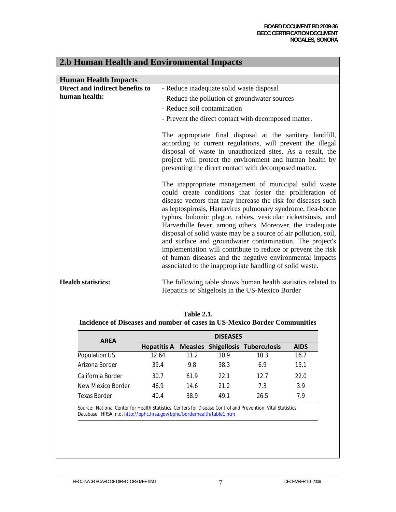and the state of the state of the

| 2.b Human Health and Environmental Impacts |                                                                                                                                                                                                                                                                                                                                                                                                                                                                                                                                                                                                                                                                                                      |  |  |  |  |
|--------------------------------------------|------------------------------------------------------------------------------------------------------------------------------------------------------------------------------------------------------------------------------------------------------------------------------------------------------------------------------------------------------------------------------------------------------------------------------------------------------------------------------------------------------------------------------------------------------------------------------------------------------------------------------------------------------------------------------------------------------|--|--|--|--|
|                                            |                                                                                                                                                                                                                                                                                                                                                                                                                                                                                                                                                                                                                                                                                                      |  |  |  |  |
| <b>Human Health Impacts</b>                |                                                                                                                                                                                                                                                                                                                                                                                                                                                                                                                                                                                                                                                                                                      |  |  |  |  |
| Direct and indirect benefits to            | - Reduce inadequate solid waste disposal                                                                                                                                                                                                                                                                                                                                                                                                                                                                                                                                                                                                                                                             |  |  |  |  |
| human health:                              | - Reduce the pollution of groundwater sources                                                                                                                                                                                                                                                                                                                                                                                                                                                                                                                                                                                                                                                        |  |  |  |  |
|                                            | - Reduce soil contamination                                                                                                                                                                                                                                                                                                                                                                                                                                                                                                                                                                                                                                                                          |  |  |  |  |
|                                            | - Prevent the direct contact with decomposed matter.                                                                                                                                                                                                                                                                                                                                                                                                                                                                                                                                                                                                                                                 |  |  |  |  |
|                                            |                                                                                                                                                                                                                                                                                                                                                                                                                                                                                                                                                                                                                                                                                                      |  |  |  |  |
|                                            | The appropriate final disposal at the sanitary landfill,<br>according to current regulations, will prevent the illegal<br>disposal of waste in unauthorized sites. As a result, the<br>project will protect the environment and human health by<br>preventing the direct contact with decomposed matter.                                                                                                                                                                                                                                                                                                                                                                                             |  |  |  |  |
|                                            | The inappropriate management of municipal solid waste<br>could create conditions that foster the proliferation of<br>disease vectors that may increase the risk for diseases such<br>as leptospirosis, Hantavirus pulmonary syndrome, flea-borne<br>typhus, bubonic plague, rabies, vesicular rickettsiosis, and<br>Harverhille fever, among others. Moreover, the inadequate<br>disposal of solid waste may be a source of air pollution, soil,<br>and surface and groundwater contamination. The project's<br>implementation will contribute to reduce or prevent the risk<br>of human diseases and the negative environmental impacts<br>associated to the inappropriate handling of solid waste. |  |  |  |  |
| <b>Health statistics:</b>                  | The following table shows human health statistics related to<br>Hepatitis or Shigelosis in the US-Mexico Border                                                                                                                                                                                                                                                                                                                                                                                                                                                                                                                                                                                      |  |  |  |  |

 $2.5$  Human Health and Environmental Impacts  $\overline{AB}$  and  $\overline{AB}$  and  $\overline{AB}$ 

| <b>Table 2.1.</b>                                                         |
|---------------------------------------------------------------------------|
| Incidence of Diseases and number of cases in US-Mexico Border Communities |

| <b>AREA</b>       | <b>DISEASES</b> |      |      |                                                     |             |  |  |  |
|-------------------|-----------------|------|------|-----------------------------------------------------|-------------|--|--|--|
|                   |                 |      |      | <b>Hepatitis A Measles Shigellosis Tuberculosis</b> | <b>AIDS</b> |  |  |  |
| Population US     | 12.64           | 11.2 | 10.9 | 10.3                                                | 16.7        |  |  |  |
| Arizona Border    | 39.4            | 9.8  | 38.3 | 6.9                                                 | 15.1        |  |  |  |
| California Border | 30.7            | 61.9 | 22.1 | 12.7                                                | 22.0        |  |  |  |
| New Mexico Border | 46.9            | 14.6 | 21.2 | 7.3                                                 | 3.9         |  |  |  |
| Texas Border      | 40.4            | 38.9 | 49 1 | 26.5                                                | 7.9         |  |  |  |

Source: National Center for Health Statistics. Centers for Disease Control and Prevention, Vital Statistics Database. HRSA, n.d. http://bphc.hrsa.gov/bphc/borderhealth/table1.htm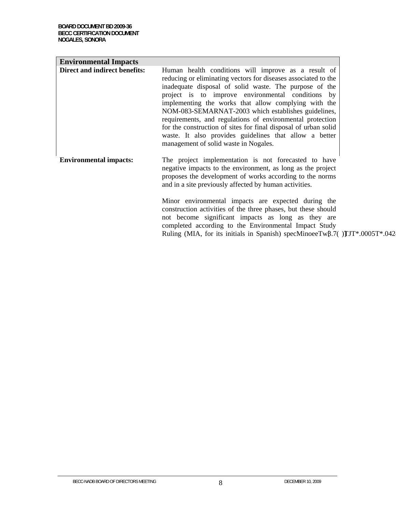| <b>Environmental Impacts</b>  |                                                                                                                                                                                                                                                                                                                                                                                                                                                                                                                                                                                        |  |
|-------------------------------|----------------------------------------------------------------------------------------------------------------------------------------------------------------------------------------------------------------------------------------------------------------------------------------------------------------------------------------------------------------------------------------------------------------------------------------------------------------------------------------------------------------------------------------------------------------------------------------|--|
| Direct and indirect benefits: | Human health conditions will improve as a result of<br>reducing or eliminating vectors for diseases associated to the<br>inadequate disposal of solid waste. The purpose of the<br>project is to improve environmental conditions by<br>implementing the works that allow complying with the<br>NOM-083-SEMARNAT-2003 which establishes guidelines,<br>requirements, and regulations of environmental protection<br>for the construction of sites for final disposal of urban solid<br>waste. It also provides guidelines that allow a better<br>management of solid waste in Nogales. |  |
| <b>Environmental impacts:</b> | The project implementation is not forecasted to have<br>negative impacts to the environment, as long as the project<br>proposes the development of works according to the norms<br>and in a site previously affected by human activities.<br>Minor environmental impacts are expected during the<br>construction activities of the three phases, but these should<br>not become significant impacts as long as they are<br>completed according to the Environmental Impact Study<br>Ruling (MIA, for its initials in Spanish) specMinoeeTw $\beta$ .7()TJT*.0005T*.042                 |  |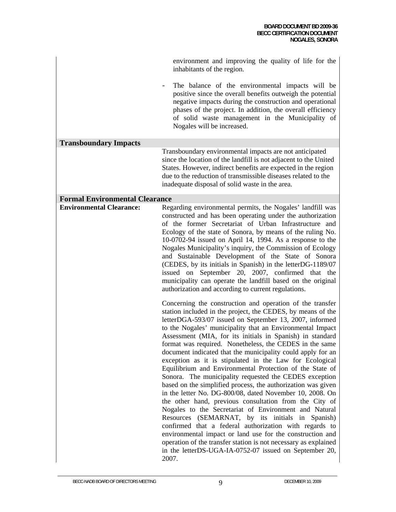|                                       | environment and improving the quality of life for the<br>inhabitants of the region.                                                                                                                                                                                                                                                                                                                                                                                                                                                                                                                                                                                                                                                                                                                                                                                                                                                                                                                                                                                                                                                                                                      |
|---------------------------------------|------------------------------------------------------------------------------------------------------------------------------------------------------------------------------------------------------------------------------------------------------------------------------------------------------------------------------------------------------------------------------------------------------------------------------------------------------------------------------------------------------------------------------------------------------------------------------------------------------------------------------------------------------------------------------------------------------------------------------------------------------------------------------------------------------------------------------------------------------------------------------------------------------------------------------------------------------------------------------------------------------------------------------------------------------------------------------------------------------------------------------------------------------------------------------------------|
|                                       | The balance of the environmental impacts will be<br>positive since the overall benefits outweigh the potential<br>negative impacts during the construction and operational<br>phases of the project. In addition, the overall efficiency<br>of solid waste management in the Municipality of<br>Nogales will be increased.                                                                                                                                                                                                                                                                                                                                                                                                                                                                                                                                                                                                                                                                                                                                                                                                                                                               |
| <b>Transboundary Impacts</b>          |                                                                                                                                                                                                                                                                                                                                                                                                                                                                                                                                                                                                                                                                                                                                                                                                                                                                                                                                                                                                                                                                                                                                                                                          |
|                                       | Transboundary environmental impacts are not anticipated<br>since the location of the landfill is not adjacent to the United<br>States. However, indirect benefits are expected in the region<br>due to the reduction of transmissible diseases related to the<br>inadequate disposal of solid waste in the area.                                                                                                                                                                                                                                                                                                                                                                                                                                                                                                                                                                                                                                                                                                                                                                                                                                                                         |
| <b>Formal Environmental Clearance</b> |                                                                                                                                                                                                                                                                                                                                                                                                                                                                                                                                                                                                                                                                                                                                                                                                                                                                                                                                                                                                                                                                                                                                                                                          |
| <b>Environmental Clearance:</b>       | Regarding environmental permits, the Nogales' landfill was<br>constructed and has been operating under the authorization<br>of the former Secretariat of Urban Infrastructure and<br>Ecology of the state of Sonora, by means of the ruling No.<br>10-0702-94 issued on April 14, 1994. As a response to the<br>Nogales Municipality's inquiry, the Commission of Ecology<br>and Sustainable Development of the State of Sonora<br>(CEDES, by its initials in Spanish) in the letterDG-1189/07<br>issued on September 20, 2007, confirmed that the<br>municipality can operate the landfill based on the original<br>authorization and according to current regulations.                                                                                                                                                                                                                                                                                                                                                                                                                                                                                                                 |
|                                       | Concerning the construction and operation of the transfer<br>station included in the project, the CEDES, by means of the<br>letterDGA-593/07 issued on September 13, 2007, informed<br>to the Nogales' municipality that an Environmental Impact<br>Assessment (MIA, for its initials in Spanish) in standard<br>format was required. Nonetheless, the CEDES in the same<br>document indicated that the municipality could apply for an<br>exception as it is stipulated in the Law for Ecological<br>Equilibrium and Environmental Protection of the State of<br>Sonora. The municipality requested the CEDES exception<br>based on the simplified process, the authorization was given<br>in the letter No. DG-800/08, dated November 10, 2008. On<br>the other hand, previous consultation from the City of<br>Nogales to the Secretariat of Environment and Natural<br>Resources (SEMARNAT, by its initials in Spanish)<br>confirmed that a federal authorization with regards to<br>environmental impact or land use for the construction and<br>operation of the transfer station is not necessary as explained<br>in the letterDS-UGA-IA-0752-07 issued on September 20,<br>2007. |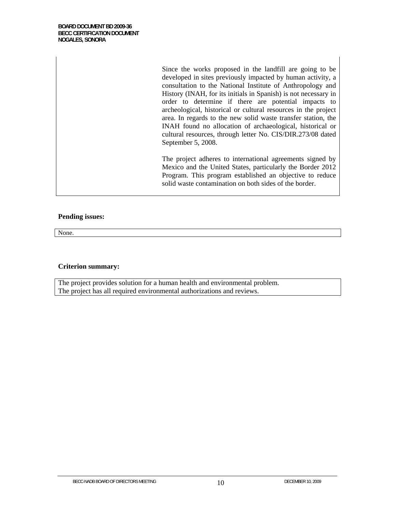Since the works proposed in the landfill are going to be developed in sites previously impacted by human activity, a consultation to the National Institute of Anthropology and History (INAH, for its initials in Spanish) is not necessary in order to determine if there are potential impacts to archeological, historical or cultural resources in the project area. In regards to the new solid waste transfer station, the INAH found no allocation of archaeological, historical or cultural resources, through letter No. CIS/DIR.273/08 dated September 5, 2008.

The project adheres to international agreements signed by Mexico and the United States, particularly the Border 2012 Program. This program established an objective to reduce solid waste contamination on both sides of the border.

#### **Pending issues:**

None.

#### **Criterion summary:**

The project provides solution for a human health and environmental problem. The project has all required environmental authorizations and reviews.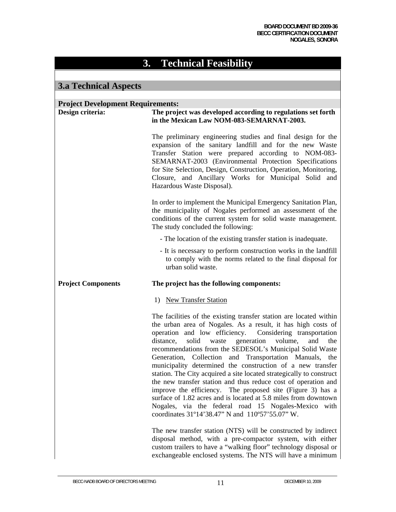## **3. Technical Feasibility**

### **3.a Technical Aspects**

## **Project Development Requirements: Design criteria: The project was developed according to regulations set forth in the Mexican Law NOM-083-SEMARNAT-2003.**  The preliminary engineering studies and final design for the expansion of the sanitary landfill and for the new Waste Transfer Station were prepared according to NOM-083- SEMARNAT-2003 (Environmental Protection Specifications for Site Selection, Design, Construction, Operation, Monitoring, Closure, and Ancillary Works for Municipal Solid and Hazardous Waste Disposal). In order to implement the Municipal Emergency Sanitation Plan, the municipality of Nogales performed an assessment of the conditions of the current system for solid waste management. The study concluded the following: - The location of the existing transfer station is inadequate. - It is necessary to perform construction works in the landfill to comply with the norms related to the final disposal for urban solid waste. **Project Components The project has the following components:**  1) New Transfer Station The facilities of the existing transfer station are located within the urban area of Nogales. As a result, it has high costs of operation and low efficiency. Considering transportation distance, solid waste generation volume, and the recommendations from the SEDESOL's Municipal Solid Waste Generation, Collection and Transportation Manuals, the municipality determined the construction of a new transfer station. The City acquired a site located strategically to construct the new transfer station and thus reduce cost of operation and improve the efficiency. The proposed site (Figure 3) has a surface of 1.82 acres and is located at 5.8 miles from downtown Nogales, via the federal road 15 Nogales-Mexico with coordinates 31º14'38.47" N and 110º57'55.07" W. The new transfer station (NTS) will be constructed by indirect disposal method, with a pre-compactor system, with either custom trailers to have a "walking floor" technology disposal or exchangeable enclosed systems. The NTS will have a minimum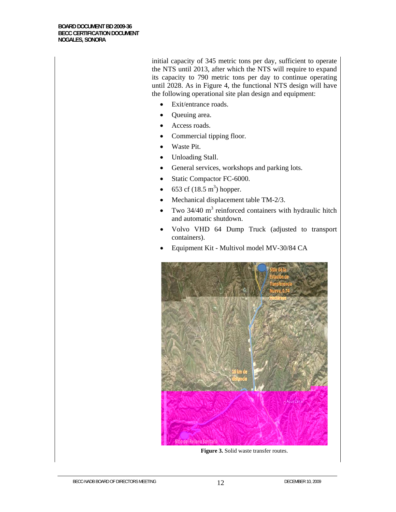initial capacity of 345 metric tons per day, sufficient to operate the NTS until 2013, after which the NTS will require to expand its capacity to 790 metric tons per day to continue operating until 2028. As in Figure 4, the functional NTS design will have the following operational site plan design and equipment:

- Exit/entrance roads.
- Queuing area.
- Access roads.
- Commercial tipping floor.
- Waste Pit.
- Unloading Stall.
- General services, workshops and parking lots.
- Static Compactor FC-6000.
- 653 cf  $(18.5 \text{ m}^3)$  hopper.
- Mechanical displacement table TM-2/3.
- Two  $34/40$  m<sup>3</sup> reinforced containers with hydraulic hitch and automatic shutdown.
- Volvo VHD 64 Dump Truck (adjusted to transport containers).
- Equipment Kit Multivol model MV-30/84 CA



**Figure 3.** Solid waste transfer routes.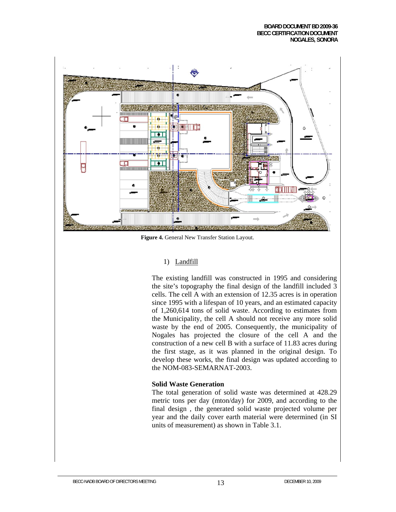

**Figure 4.** General New Transfer Station Layout.

#### 1) Landfill

The existing landfill was constructed in 1995 and considering the site's topography the final design of the landfill included 3 cells. The cell A with an extension of 12.35 acres is in operation since 1995 with a lifespan of 10 years, and an estimated capacity of 1,260,614 tons of solid waste. According to estimates from the Municipality, the cell A should not receive any more solid waste by the end of 2005. Consequently, the municipality of Nogales has projected the closure of the cell A and the construction of a new cell B with a surface of 11.83 acres during the first stage, as it was planned in the original design. To develop these works, the final design was updated according to the NOM-083-SEMARNAT-2003.

#### **Solid Waste Generation**

The total generation of solid waste was determined at 428.29 metric tons per day (mton/day) for 2009, and according to the final design , the generated solid waste projected volume per year and the daily cover earth material were determined (in SI units of measurement) as shown in Table 3.1.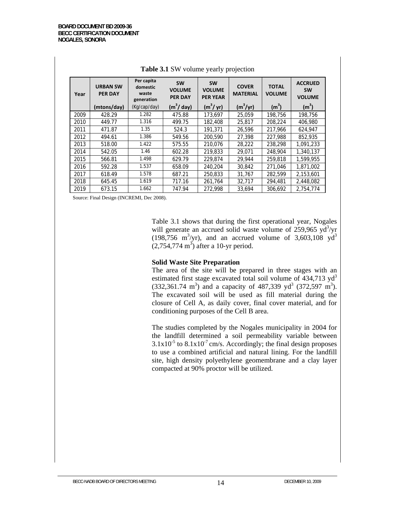| Year | <b>URBAN SW</b><br><b>PER DAY</b> | Per capita<br>domestic<br>waste<br>generation | <b>SW</b><br><b>VOLUME</b><br><b>PER DAY</b> | <b>SW</b><br><b>VOLUME</b><br><b>PER YEAR</b> | <b>COVER</b><br><b>MATERIAL</b> | <b>TOTAL</b><br><b>VOLUME</b> | <b>ACCRUED</b><br><b>SW</b><br><b>VOLUME</b> |
|------|-----------------------------------|-----------------------------------------------|----------------------------------------------|-----------------------------------------------|---------------------------------|-------------------------------|----------------------------------------------|
|      | (mtons/day)                       | (Kg/cap/day)                                  | (m <sup>3</sup> /day)                        | $(m^3/yr)$                                    | $(m^3/yr)$                      | (m <sup>3</sup> )             | (m <sup>3</sup> )                            |
| 2009 | 428.29                            | 1.282                                         | 475.88                                       | 173.697                                       | 25,059                          | 198,756                       | 198,756                                      |
| 2010 | 449.77                            | 1.316                                         | 499.75                                       | 182,408                                       | 25,817                          | 208.224                       | 406,980                                      |
| 2011 | 471.87                            | 1.35                                          | 524.3                                        | 191.371                                       | 26.596                          | 217.966                       | 624.947                                      |
| 2012 | 494.61                            | 1.386                                         | 549.56                                       | 200,590                                       | 27,398                          | 227,988                       | 852,935                                      |
| 2013 | 518.00                            | 1.422                                         | 575.55                                       | 210.076                                       | 28.222                          | 238.298                       | 1,091,233                                    |
| 2014 | 542.05                            | 1.46                                          | 602.28                                       | 219,833                                       | 29.071                          | 248.904                       | 1.340.137                                    |
| 2015 | 566.81                            | 1.498                                         | 629.79                                       | 229.874                                       | 29.944                          | 259.818                       | 1,599,955                                    |
| 2016 | 592.28                            | 1.537                                         | 658.09                                       | 240.204                                       | 30.842                          | 271.046                       | 1,871,002                                    |
| 2017 | 618.49                            | 1.578                                         | 687.21                                       | 250,833                                       | 31,767                          | 282.599                       | 2,153,601                                    |
| 2018 | 645.45                            | 1.619                                         | 717.16                                       | 261.764                                       | 32,717                          | 294.481                       | 2,448,082                                    |
| 2019 | 673.15                            | 1.662                                         | 747.94                                       | 272,998                                       | 33,694                          | 306,692                       | 2,754,774                                    |

#### **Table 3.1** SW volume yearly projection

Source: Final Design (INCREMI, Dec 2008).

Table 3.1 shows that during the first operational year, Nogales will generate an accrued solid waste volume of  $259,965$   $yd^3$ /yr  $(198,756 \text{ m}^3/\text{yr})$ , and an accrued volume of 3,603,108 yd<sup>3</sup>  $(2,754,774 \text{ m}^3)$  after a 10-yr period.

#### **Solid Waste Site Preparation**

The area of the site will be prepared in three stages with an estimated first stage excavated total soil volume of  $434,713$  yd<sup>3</sup>  $(332,361.74 \text{ m}^3)$  and a capacity of 487,339 yd<sup>3</sup> (372,597 m<sup>3</sup>). The excavated soil will be used as fill material during the closure of Cell A, as daily cover, final cover material, and for conditioning purposes of the Cell B area.

The studies completed by the Nogales municipality in 2004 for the landfill determined a soil permeability variable between  $3.1x10^{-5}$  to  $8.1x10^{-7}$  cm/s. Accordingly; the final design proposes to use a combined artificial and natural lining. For the landfill site, high density polyethylene geomembrane and a clay layer compacted at 90% proctor will be utilized.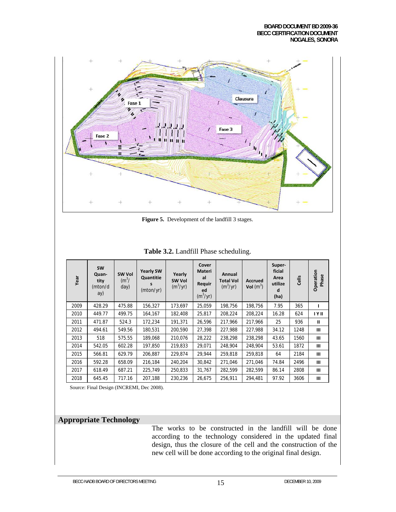

**Figure 5.** Development of the landfill 3 stages.

| Year | <b>SW</b><br>Quan-<br>tity<br>(mton/d<br>ay) | SW Vol<br>$(m^3)$<br>day) | <b>Yearly SW</b><br>Quantitie<br>s<br>(mton/yr) | Yearly<br>SW Vol<br>$(m^3/yr)$ | Cover<br>Materi<br>al<br>Requir<br>ed<br>$(m^3/yr)$ | Annual<br><b>Total Vol</b><br>$(m^3/yr)$ | <b>Accrued</b><br>Vol $(m^3)$ | Super-<br>ficial<br>Area<br>utilize<br>d<br>(ha) | Cells | Operation<br>Phase |
|------|----------------------------------------------|---------------------------|-------------------------------------------------|--------------------------------|-----------------------------------------------------|------------------------------------------|-------------------------------|--------------------------------------------------|-------|--------------------|
| 2009 | 428.29                                       | 475.88                    | 156,327                                         | 173,697                        | 25,059                                              | 198,756                                  | 198,756                       | 7.95                                             | 365   |                    |
| 2010 | 449.77                                       | 499.75                    | 164,167                                         | 182,408                        | 25,817                                              | 208,224                                  | 208,224                       | 16.28                                            | 624   | <b>IYII</b>        |
| 2011 | 471.87                                       | 524.3                     | 172,234                                         | 191,371                        | 26,596                                              | 217,966                                  | 217,966                       | 25                                               | 936   | $\mathbf{u}$       |
| 2012 | 494.61                                       | 549.56                    | 180,531                                         | 200,590                        | 27,398                                              | 227,988                                  | 227,988                       | 34.12                                            | 1248  | $\mathbf{III}$     |
| 2013 | 518                                          | 575.55                    | 189,068                                         | 210,076                        | 28,222                                              | 238,298                                  | 238,298                       | 43.65                                            | 1560  | $\mathbf{III}$     |
| 2014 | 542.05                                       | 602.28                    | 197,850                                         | 219,833                        | 29,071                                              | 248,904                                  | 248,904                       | 53.61                                            | 1872  | $\mathbf{III}$     |
| 2015 | 566.81                                       | 629.79                    | 206,887                                         | 229,874                        | 29,944                                              | 259.818                                  | 259,818                       | 64                                               | 2184  | $\mathbf{III}$     |
| 2016 | 592.28                                       | 658.09                    | 216,184                                         | 240,204                        | 30,842                                              | 271,046                                  | 271,046                       | 74.84                                            | 2496  | Ш                  |
| 2017 | 618.49                                       | 687.21                    | 225,749                                         | 250,833                        | 31,767                                              | 282,599                                  | 282,599                       | 86.14                                            | 2808  | $\mathbf{III}$     |
| 2018 | 645.45                                       | 717.16                    | 207,188                                         | 230,236                        | 26,675                                              | 256,911                                  | 294,481                       | 97.92                                            | 3606  | $\mathbf{III}$     |

#### **Table 3.2.** Landfill Phase scheduling.

Source: Final Design (INCREMI, Dec 2008).

### **Appropriate Technology**

The works to be constructed in the landfill will be done according to the technology considered in the updated final design, thus the closure of the cell and the construction of the new cell will be done according to the original final design.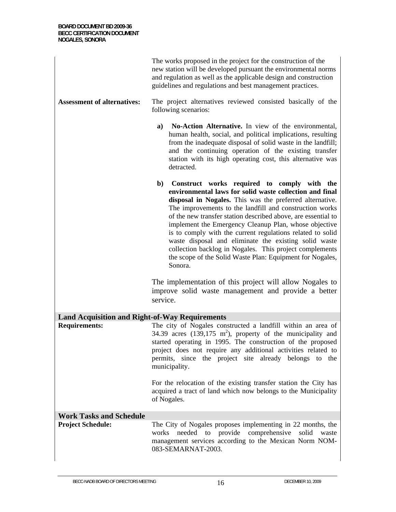|                                                       | The works proposed in the project for the construction of the<br>new station will be developed pursuant the environmental norms<br>and regulation as well as the applicable design and construction<br>guidelines and regulations and best management practices.                                                                                                                                                                                                                                                                                                                                                                  |  |  |  |
|-------------------------------------------------------|-----------------------------------------------------------------------------------------------------------------------------------------------------------------------------------------------------------------------------------------------------------------------------------------------------------------------------------------------------------------------------------------------------------------------------------------------------------------------------------------------------------------------------------------------------------------------------------------------------------------------------------|--|--|--|
| <b>Assessment of alternatives:</b>                    | The project alternatives reviewed consisted basically of the<br>following scenarios:                                                                                                                                                                                                                                                                                                                                                                                                                                                                                                                                              |  |  |  |
|                                                       | No-Action Alternative. In view of the environmental,<br>a)<br>human health, social, and political implications, resulting<br>from the inadequate disposal of solid waste in the landfill;<br>and the continuing operation of the existing transfer<br>station with its high operating cost, this alternative was<br>detracted.                                                                                                                                                                                                                                                                                                    |  |  |  |
|                                                       | $\mathbf{b}$<br>Construct works required to comply with the<br>environmental laws for solid waste collection and final<br>disposal in Nogales. This was the preferred alternative.<br>The improvements to the landfill and construction works<br>of the new transfer station described above, are essential to<br>implement the Emergency Cleanup Plan, whose objective<br>is to comply with the current regulations related to solid<br>waste disposal and eliminate the existing solid waste<br>collection backlog in Nogales. This project complements<br>the scope of the Solid Waste Plan: Equipment for Nogales,<br>Sonora. |  |  |  |
|                                                       | The implementation of this project will allow Nogales to<br>improve solid waste management and provide a better<br>service.                                                                                                                                                                                                                                                                                                                                                                                                                                                                                                       |  |  |  |
| <b>Land Acquisition and Right-of-Way Requirements</b> |                                                                                                                                                                                                                                                                                                                                                                                                                                                                                                                                                                                                                                   |  |  |  |
| <b>Requirements:</b>                                  | The city of Nogales constructed a landfill within an area of<br>34.39 acres $(139,175 \text{ m}^2)$ , property of the municipality and<br>started operating in 1995. The construction of the proposed<br>project does not require any additional activities related to<br>permits, since the project site already belongs to the<br>municipality.                                                                                                                                                                                                                                                                                 |  |  |  |
|                                                       | For the relocation of the existing transfer station the City has<br>acquired a tract of land which now belongs to the Municipality<br>of Nogales.                                                                                                                                                                                                                                                                                                                                                                                                                                                                                 |  |  |  |
| <b>Work Tasks and Schedule</b>                        |                                                                                                                                                                                                                                                                                                                                                                                                                                                                                                                                                                                                                                   |  |  |  |
| <b>Project Schedule:</b>                              | The City of Nogales proposes implementing in 22 months, the<br>needed<br>provide<br>comprehensive<br>works<br>to<br>solid<br>waste<br>management services according to the Mexican Norm NOM-<br>083-SEMARNAT-2003.                                                                                                                                                                                                                                                                                                                                                                                                                |  |  |  |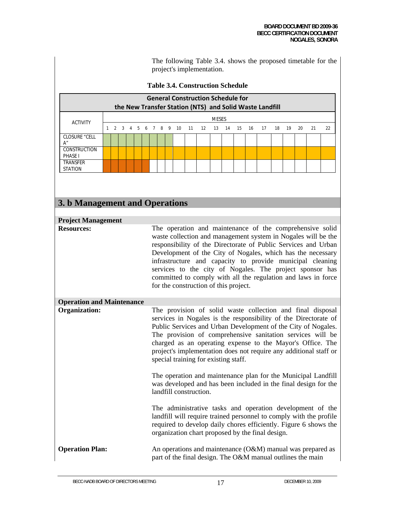The following Table 3.4. shows the proposed timetable for the project's implementation.

### **Table 3.4. Construction Schedule**

| <b>General Construction Schedule for</b><br>the New Transfer Station (NTS) and Solid Waste Landfill |  |  |  |  |  |  |  |  |  |                                   |              |  |       |    |      |     |    |    |
|-----------------------------------------------------------------------------------------------------|--|--|--|--|--|--|--|--|--|-----------------------------------|--------------|--|-------|----|------|-----|----|----|
| <b>ACTIVITY</b>                                                                                     |  |  |  |  |  |  |  |  |  |                                   | <b>MESES</b> |  |       |    |      |     |    |    |
|                                                                                                     |  |  |  |  |  |  |  |  |  | 2 3 4 5 6 7 8 9 10 11 12 13 14 15 |              |  | 16 17 | 18 | - 19 | -20 | 21 | 22 |
| CLOSURE "CELL                                                                                       |  |  |  |  |  |  |  |  |  |                                   |              |  |       |    |      |     |    |    |
| <b>CONSTRUCTION</b><br><b>PHASE I</b>                                                               |  |  |  |  |  |  |  |  |  |                                   |              |  |       |    |      |     |    |    |
| <b>TRANSFER</b><br><b>STATION</b>                                                                   |  |  |  |  |  |  |  |  |  |                                   |              |  |       |    |      |     |    |    |

## **3. b Management and Operations**

| <b>Project Management</b>        |                                                                                                                                                                                                                                                                                                                                                                                                                                                                                                                                                                                                                                                                                                                                                                                                                                                                  |
|----------------------------------|------------------------------------------------------------------------------------------------------------------------------------------------------------------------------------------------------------------------------------------------------------------------------------------------------------------------------------------------------------------------------------------------------------------------------------------------------------------------------------------------------------------------------------------------------------------------------------------------------------------------------------------------------------------------------------------------------------------------------------------------------------------------------------------------------------------------------------------------------------------|
| <b>Resources:</b>                | The operation and maintenance of the comprehensive solid<br>waste collection and management system in Nogales will be the<br>responsibility of the Directorate of Public Services and Urban<br>Development of the City of Nogales, which has the necessary<br>infrastructure and capacity to provide municipal cleaning<br>services to the city of Nogales. The project sponsor has<br>committed to comply with all the regulation and laws in force<br>for the construction of this project.                                                                                                                                                                                                                                                                                                                                                                    |
| <b>Operation and Maintenance</b> |                                                                                                                                                                                                                                                                                                                                                                                                                                                                                                                                                                                                                                                                                                                                                                                                                                                                  |
| Organization:                    | The provision of solid waste collection and final disposal<br>services in Nogales is the responsibility of the Directorate of<br>Public Services and Urban Development of the City of Nogales.<br>The provision of comprehensive sanitation services will be<br>charged as an operating expense to the Mayor's Office. The<br>project's implementation does not require any additional staff or<br>special training for existing staff.<br>The operation and maintenance plan for the Municipal Landfill<br>was developed and has been included in the final design for the<br>landfill construction.<br>The administrative tasks and operation development of the<br>landfill will require trained personnel to comply with the profile<br>required to develop daily chores efficiently. Figure 6 shows the<br>organization chart proposed by the final design. |
| <b>Operation Plan:</b>           | An operations and maintenance $(O&M)$ manual was prepared as                                                                                                                                                                                                                                                                                                                                                                                                                                                                                                                                                                                                                                                                                                                                                                                                     |
|                                  | part of the final design. The O&M manual outlines the main                                                                                                                                                                                                                                                                                                                                                                                                                                                                                                                                                                                                                                                                                                                                                                                                       |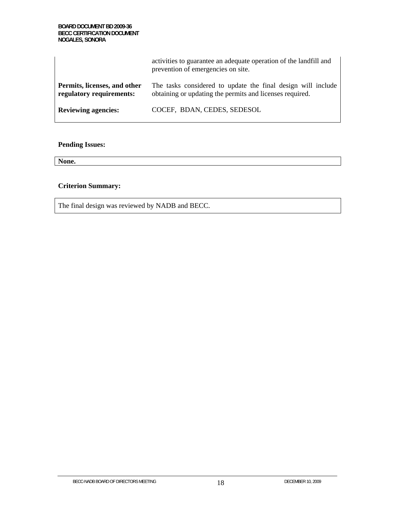|                                                          | activities to guarantee an adequate operation of the landfill and<br>prevention of emergencies on site.                  |
|----------------------------------------------------------|--------------------------------------------------------------------------------------------------------------------------|
| Permits, licenses, and other<br>regulatory requirements: | The tasks considered to update the final design will include<br>obtaining or updating the permits and licenses required. |
| <b>Reviewing agencies:</b>                               | COCEF, BDAN, CEDES, SEDESOL                                                                                              |

## **Pending Issues:**

**None.**

## **Criterion Summary:**

The final design was reviewed by NADB and BECC.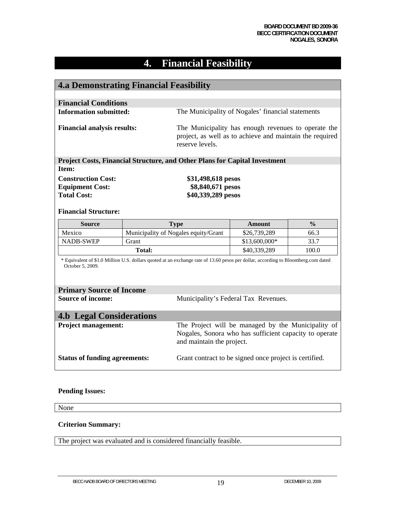# **4. Financial Feasibility**

| <b>4.a Demonstrating Financial Feasibility</b>                                                                                                        |               |                                                                                                                                           |                                                        |               |  |  |  |  |
|-------------------------------------------------------------------------------------------------------------------------------------------------------|---------------|-------------------------------------------------------------------------------------------------------------------------------------------|--------------------------------------------------------|---------------|--|--|--|--|
|                                                                                                                                                       |               |                                                                                                                                           |                                                        |               |  |  |  |  |
| <b>Financial Conditions</b>                                                                                                                           |               |                                                                                                                                           |                                                        |               |  |  |  |  |
| <b>Information submitted:</b>                                                                                                                         |               |                                                                                                                                           | The Municipality of Nogales' financial statements      |               |  |  |  |  |
| <b>Financial analysis results:</b>                                                                                                                    |               | The Municipality has enough revenues to operate the<br>project, as well as to achieve and maintain the required<br>reserve levels.        |                                                        |               |  |  |  |  |
| Project Costs, Financial Structure, and Other Plans for Capital Investment                                                                            |               |                                                                                                                                           |                                                        |               |  |  |  |  |
| Item:                                                                                                                                                 |               |                                                                                                                                           |                                                        |               |  |  |  |  |
| <b>Construction Cost:</b>                                                                                                                             |               | \$31,498,618 pesos                                                                                                                        |                                                        |               |  |  |  |  |
| <b>Equipment Cost:</b>                                                                                                                                |               | \$8,840,671 pesos                                                                                                                         |                                                        |               |  |  |  |  |
| <b>Total Cost:</b>                                                                                                                                    |               | \$40,339,289 pesos                                                                                                                        |                                                        |               |  |  |  |  |
|                                                                                                                                                       |               |                                                                                                                                           |                                                        |               |  |  |  |  |
| <b>Financial Structure:</b>                                                                                                                           |               |                                                                                                                                           |                                                        |               |  |  |  |  |
| <b>Source</b>                                                                                                                                         |               | <b>Type</b>                                                                                                                               | <b>Amount</b>                                          | $\frac{0}{0}$ |  |  |  |  |
| Mexico                                                                                                                                                |               | Municipality of Nogales equity/Grant                                                                                                      | \$26,739,289                                           | 66.3          |  |  |  |  |
| <b>NADB-SWEP</b>                                                                                                                                      | Grant         |                                                                                                                                           | \$13,600,000*                                          | 33.7          |  |  |  |  |
|                                                                                                                                                       | <b>Total:</b> |                                                                                                                                           | \$40,339,289                                           | 100.0         |  |  |  |  |
| * Equivalent of \$1.0 Million U.S. dollars quoted at an exchange rate of 13.60 pesos per dollar, according to Bloomberg.com dated<br>October 5, 2009. |               |                                                                                                                                           |                                                        |               |  |  |  |  |
| <b>Primary Source of Income</b>                                                                                                                       |               |                                                                                                                                           |                                                        |               |  |  |  |  |
| <b>Source of income:</b>                                                                                                                              |               | Municipality's Federal Tax Revenues.                                                                                                      |                                                        |               |  |  |  |  |
| <b>4.b Legal Considerations</b>                                                                                                                       |               |                                                                                                                                           |                                                        |               |  |  |  |  |
| <b>Project management:</b>                                                                                                                            |               | The Project will be managed by the Municipality of<br>Nogales, Sonora who has sufficient capacity to operate<br>and maintain the project. |                                                        |               |  |  |  |  |
| <b>Status of funding agreements:</b>                                                                                                                  |               |                                                                                                                                           | Grant contract to be signed once project is certified. |               |  |  |  |  |

### **Pending Issues:**

None

### **Criterion Summary:**

The project was evaluated and is considered financially feasible.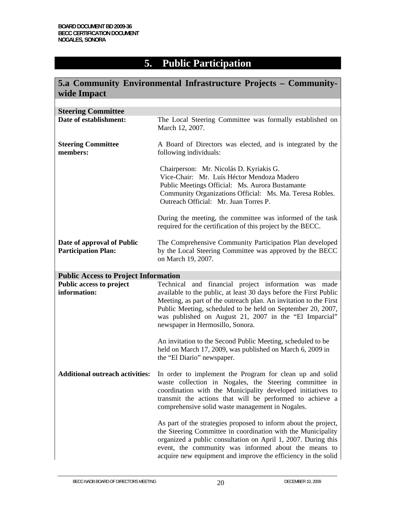# **5. Public Participation**

| wide Impact                                              | 5.a Community Environmental Infrastructure Projects - Community-                                                                                                                                                                                                                                                                                               |
|----------------------------------------------------------|----------------------------------------------------------------------------------------------------------------------------------------------------------------------------------------------------------------------------------------------------------------------------------------------------------------------------------------------------------------|
|                                                          |                                                                                                                                                                                                                                                                                                                                                                |
| <b>Steering Committee</b>                                |                                                                                                                                                                                                                                                                                                                                                                |
| Date of establishment:                                   | The Local Steering Committee was formally established on<br>March 12, 2007.                                                                                                                                                                                                                                                                                    |
| <b>Steering Committee</b><br>members:                    | A Board of Directors was elected, and is integrated by the<br>following individuals:                                                                                                                                                                                                                                                                           |
|                                                          | Chairperson: Mr. Nicolás D. Kyriakis G.<br>Vice-Chair: Mr. Luís Héctor Mendoza Madero<br>Public Meetings Official: Ms. Aurora Bustamante<br>Community Organizations Official: Ms. Ma. Teresa Robles.<br>Outreach Official: Mr. Juan Torres P.                                                                                                                  |
|                                                          | During the meeting, the committee was informed of the task<br>required for the certification of this project by the BECC.                                                                                                                                                                                                                                      |
| Date of approval of Public<br><b>Participation Plan:</b> | The Comprehensive Community Participation Plan developed<br>by the Local Steering Committee was approved by the BECC<br>on March 19, 2007.                                                                                                                                                                                                                     |
| <b>Public Access to Project Information</b>              |                                                                                                                                                                                                                                                                                                                                                                |
| Public access to project<br>information:                 | Technical<br>and financial project information was made<br>available to the public, at least 30 days before the First Public<br>Meeting, as part of the outreach plan. An invitation to the First<br>Public Meeting, scheduled to be held on September 20, 2007,<br>was published on August 21, 2007 in the "El Imparcial"<br>newspaper in Hermosillo, Sonora. |
|                                                          | An invitation to the Second Public Meeting, scheduled to be<br>held on March 17, 2009, was published on March 6, 2009 in<br>the "El Diario" newspaper.                                                                                                                                                                                                         |
| <b>Additional outreach activities:</b>                   | In order to implement the Program for clean up and solid<br>waste collection in Nogales, the Steering committee in<br>coordination with the Municipality developed initiatives to<br>transmit the actions that will be performed to achieve a<br>comprehensive solid waste management in Nogales.                                                              |
|                                                          | As part of the strategies proposed to inform about the project,<br>the Steering Committee in coordination with the Municipality<br>organized a public consultation on April 1, 2007. During this<br>event, the community was informed about the means to<br>acquire new equipment and improve the efficiency in the solid                                      |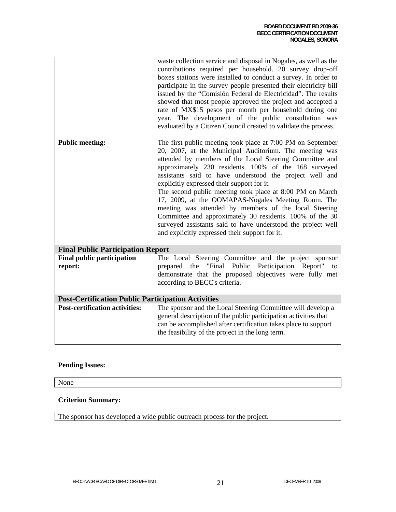|                                                           | waste collection service and disposal in Nogales, as well as the<br>contributions required per household. 20 survey drop-off<br>boxes stations were installed to conduct a survey. In order to<br>participate in the survey people presented their electricity bill<br>issued by the "Comisión Federal de Electricidad". The results<br>showed that most people approved the project and accepted a<br>rate of MX\$15 pesos per month per household during one<br>year. The development of the public consultation was<br>evaluated by a Citizen Council created to validate the process.                                                                                                                   |
|-----------------------------------------------------------|-------------------------------------------------------------------------------------------------------------------------------------------------------------------------------------------------------------------------------------------------------------------------------------------------------------------------------------------------------------------------------------------------------------------------------------------------------------------------------------------------------------------------------------------------------------------------------------------------------------------------------------------------------------------------------------------------------------|
| <b>Public meeting:</b>                                    | The first public meeting took place at 7:00 PM on September<br>20, 2007, at the Municipal Auditorium. The meeting was<br>attended by members of the Local Steering Committee and<br>approximately 230 residents. 100% of the 168 surveyed<br>assistants said to have understood the project well and<br>explicitly expressed their support for it.<br>The second public meeting took place at 8:00 PM on March<br>17, 2009, at the OOMAPAS-Nogales Meeting Room. The<br>meeting was attended by members of the local Steering<br>Committee and approximately 30 residents. 100% of the 30<br>surveyed assistants said to have understood the project well<br>and explicitly expressed their support for it. |
| <b>Final Public Participation Report</b>                  |                                                                                                                                                                                                                                                                                                                                                                                                                                                                                                                                                                                                                                                                                                             |
| <b>Final public participation</b><br>report:              | The Local Steering Committee and the project sponsor<br>"Final Public Participation Report" to<br>prepared the<br>demonstrate that the proposed objectives were fully met<br>according to BECC's criteria.                                                                                                                                                                                                                                                                                                                                                                                                                                                                                                  |
| <b>Post-Certification Public Participation Activities</b> |                                                                                                                                                                                                                                                                                                                                                                                                                                                                                                                                                                                                                                                                                                             |
| <b>Post-certification activities:</b>                     | The sponsor and the Local Steering Committee will develop a<br>general description of the public participation activities that<br>can be accomplished after certification takes place to support<br>the feasibility of the project in the long term.                                                                                                                                                                                                                                                                                                                                                                                                                                                        |

## **Pending Issues:**

None

#### **Criterion Summary:**

The sponsor has developed a wide public outreach process for the project.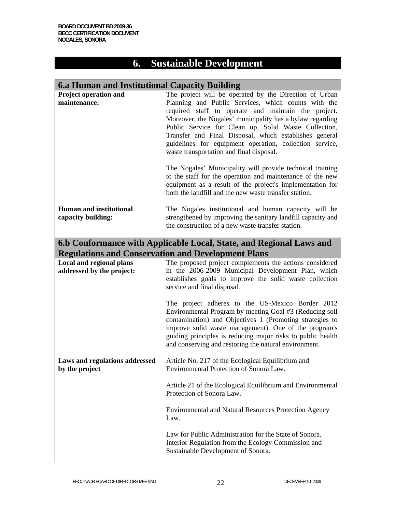# **6. Sustainable Development**

## **6.a Human and Institutional Capacity Building**

| Project operation and<br>maintenance:                        | The project will be operated by the Direction of Urban<br>Planning and Public Services, which counts with the<br>required staff to operate and maintain the project.<br>Moreover, the Nogales' municipality has a bylaw regarding<br>Public Service for Clean up, Solid Waste Collection,<br>Transfer and Final Disposal, which establishes general<br>guidelines for equipment operation, collection service,<br>waste transportation and final disposal.<br>The Nogales' Municipality will provide technical training |
|--------------------------------------------------------------|-------------------------------------------------------------------------------------------------------------------------------------------------------------------------------------------------------------------------------------------------------------------------------------------------------------------------------------------------------------------------------------------------------------------------------------------------------------------------------------------------------------------------|
|                                                              | to the staff for the operation and maintenance of the new<br>equipment as a result of the project's implementation for<br>both the landfill and the new waste transfer station.                                                                                                                                                                                                                                                                                                                                         |
| <b>Human and institutional</b><br>capacity building:         | The Nogales institutional and human capacity will be<br>strengthened by improving the sanitary landfill capacity and<br>the construction of a new waste transfer station.                                                                                                                                                                                                                                                                                                                                               |
|                                                              | 6.b Conformance with Applicable Local, State, and Regional Laws and<br><b>Regulations and Conservation and Development Plans</b>                                                                                                                                                                                                                                                                                                                                                                                        |
| <b>Local and regional plans</b><br>addressed by the project: | The proposed project complements the actions considered<br>in the 2006-2009 Municipal Development Plan, which                                                                                                                                                                                                                                                                                                                                                                                                           |
|                                                              | establishes goals to improve the solid waste collection<br>service and final disposal.                                                                                                                                                                                                                                                                                                                                                                                                                                  |
|                                                              | The project adheres to the US-Mexico Border 2012<br>Environmental Program by meeting Goal #3 (Reducing soil<br>contamination) and Objectives 1 (Promoting strategies to<br>improve solid waste management). One of the program's<br>guiding principles is reducing major risks to public health<br>and conserving and restoring the natural environment.                                                                                                                                                                |
| Laws and regulations addressed<br>by the project             | Article No. 217 of the Ecological Equilibrium and<br>Environmental Protection of Sonora Law.                                                                                                                                                                                                                                                                                                                                                                                                                            |
|                                                              | Article 21 of the Ecological Equilibrium and Environmental<br>Protection of Sonora Law.                                                                                                                                                                                                                                                                                                                                                                                                                                 |
|                                                              | <b>Environmental and Natural Resources Protection Agency</b><br>Law.                                                                                                                                                                                                                                                                                                                                                                                                                                                    |
|                                                              | Law for Public Administration for the State of Sonora.<br>Interior Regulation from the Ecology Commission and<br>Sustainable Development of Sonora.                                                                                                                                                                                                                                                                                                                                                                     |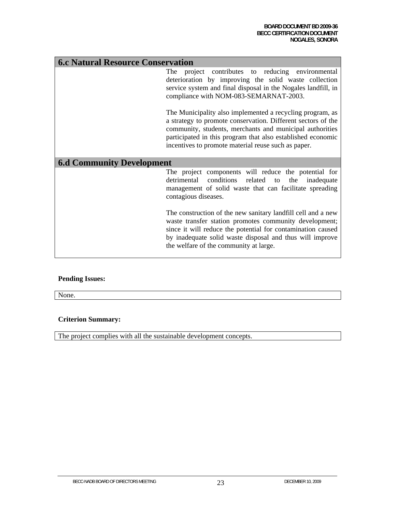| <b>6.c Natural Resource Conservation</b> |                                                                                                                                                                                                                                                                                                             |  |  |  |  |  |  |
|------------------------------------------|-------------------------------------------------------------------------------------------------------------------------------------------------------------------------------------------------------------------------------------------------------------------------------------------------------------|--|--|--|--|--|--|
|                                          | The project contributes to reducing environmental<br>deterioration by improving the solid waste collection<br>service system and final disposal in the Nogales landfill, in<br>compliance with NOM-083-SEMARNAT-2003.                                                                                       |  |  |  |  |  |  |
|                                          | The Municipality also implemented a recycling program, as<br>a strategy to promote conservation. Different sectors of the<br>community, students, merchants and municipal authorities<br>participated in this program that also established economic<br>incentives to promote material reuse such as paper. |  |  |  |  |  |  |
| <b>6.d Community Development</b>         |                                                                                                                                                                                                                                                                                                             |  |  |  |  |  |  |
|                                          | The project components will reduce the potential for<br>detrimental conditions related to<br>the<br>inadequate<br>management of solid waste that can facilitate spreading<br>contagious diseases.                                                                                                           |  |  |  |  |  |  |
|                                          | The construction of the new sanitary landfill cell and a new<br>waste transfer station promotes community development;<br>since it will reduce the potential for contamination caused<br>by inadequate solid waste disposal and thus will improve<br>the welfare of the community at large.                 |  |  |  |  |  |  |

### **Pending Issues:**

None.

### **Criterion Summary:**

The project complies with all the sustainable development concepts.